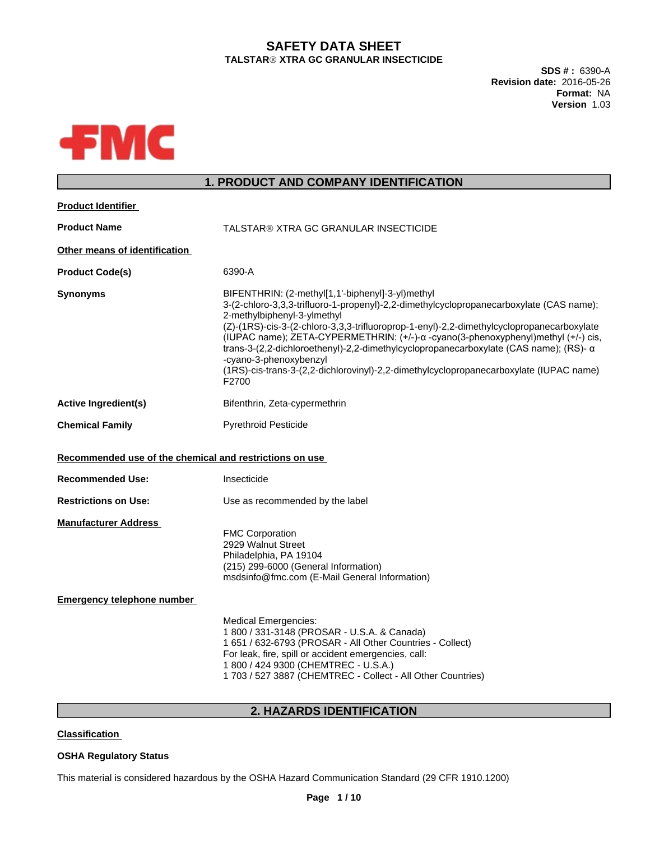# **SAFETY DATA SHEET TALSTARÒXTRA GC GRANULAR INSECTICIDE**

**SDS # :** 6390-A **Revision date:** 2016-05-26 **Format:** NA **Version** 1.03



# **1. PRODUCT AND COMPANY IDENTIFICATION**

| <b>Product Identifier</b>                               |                                                                                                                                                                                                                                                                                                                                                                                                                                                                                                                                                                                           |
|---------------------------------------------------------|-------------------------------------------------------------------------------------------------------------------------------------------------------------------------------------------------------------------------------------------------------------------------------------------------------------------------------------------------------------------------------------------------------------------------------------------------------------------------------------------------------------------------------------------------------------------------------------------|
| <b>Product Name</b>                                     | TALSTAR® XTRA GC GRANULAR INSECTICIDE                                                                                                                                                                                                                                                                                                                                                                                                                                                                                                                                                     |
| Other means of identification                           |                                                                                                                                                                                                                                                                                                                                                                                                                                                                                                                                                                                           |
| <b>Product Code(s)</b>                                  | 6390-A                                                                                                                                                                                                                                                                                                                                                                                                                                                                                                                                                                                    |
| <b>Synonyms</b>                                         | BIFENTHRIN: (2-methyl[1,1'-biphenyl]-3-yl)methyl<br>3-(2-chloro-3,3,3-trifluoro-1-propenyl)-2,2-dimethylcyclopropanecarboxylate (CAS name);<br>2-methylbiphenyl-3-ylmethyl<br>(Z)-(1RS)-cis-3-(2-chloro-3,3,3-trifluoroprop-1-enyl)-2,2-dimethylcyclopropanecarboxylate<br>(IUPAC name); ZETA-CYPERMETHRIN: (+/-)-α -cyano(3-phenoxyphenyl)methyl (+/-) cis,<br>trans-3-(2,2-dichloroethenyl)-2,2-dimethylcyclopropanecarboxylate (CAS name); (RS)- $\alpha$<br>-cyano-3-phenoxybenzyl<br>(1RS)-cis-trans-3-(2,2-dichlorovinyl)-2,2-dimethylcyclopropanecarboxylate (IUPAC name)<br>F2700 |
| <b>Active Ingredient(s)</b>                             | Bifenthrin, Zeta-cypermethrin                                                                                                                                                                                                                                                                                                                                                                                                                                                                                                                                                             |
| <b>Chemical Family</b>                                  | <b>Pyrethroid Pesticide</b>                                                                                                                                                                                                                                                                                                                                                                                                                                                                                                                                                               |
| Recommended use of the chemical and restrictions on use |                                                                                                                                                                                                                                                                                                                                                                                                                                                                                                                                                                                           |
| <b>Recommended Use:</b>                                 | Insecticide                                                                                                                                                                                                                                                                                                                                                                                                                                                                                                                                                                               |
| <b>Restrictions on Use:</b>                             | Use as recommended by the label                                                                                                                                                                                                                                                                                                                                                                                                                                                                                                                                                           |
| <b>Manufacturer Address</b>                             | <b>FMC Corporation</b><br>2929 Walnut Street<br>Philadelphia, PA 19104<br>(215) 299-6000 (General Information)<br>msdsinfo@fmc.com (E-Mail General Information)                                                                                                                                                                                                                                                                                                                                                                                                                           |
| <b>Emergency telephone number</b>                       |                                                                                                                                                                                                                                                                                                                                                                                                                                                                                                                                                                                           |
|                                                         | <b>Medical Emergencies:</b><br>1 800 / 331-3148 (PROSAR - U.S.A. & Canada)<br>1 651 / 632-6793 (PROSAR - All Other Countries - Collect)<br>For leak, fire, spill or accident emergencies, call:<br>1 800 / 424 9300 (CHEMTREC - U.S.A.)<br>1 703 / 527 3887 (CHEMTREC - Collect - All Other Countries)                                                                                                                                                                                                                                                                                    |

# **2. HAZARDS IDENTIFICATION**

**Classification**

### **OSHA Regulatory Status**

This material is considered hazardous by the OSHA Hazard Communication Standard (29 CFR 1910.1200)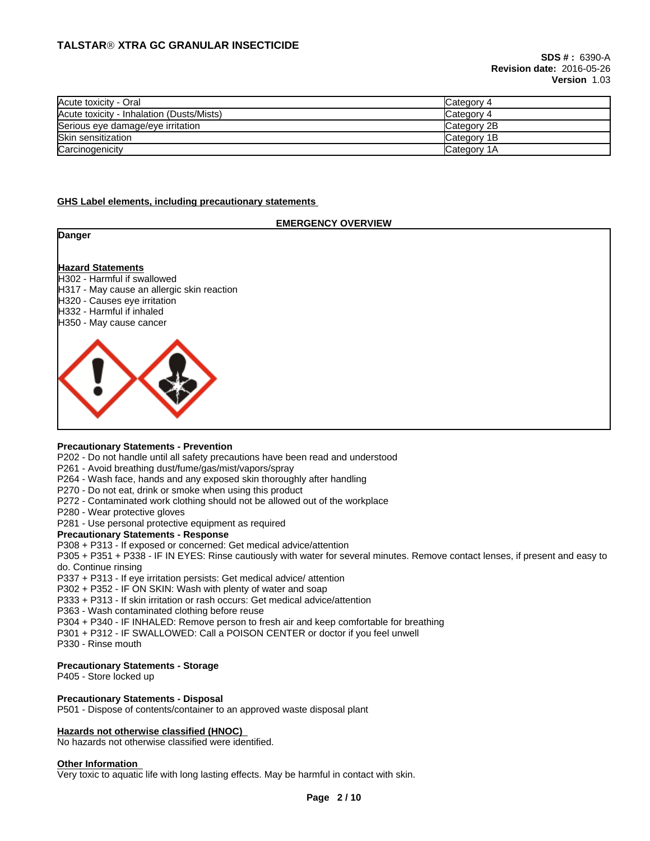| Acute toxicity - Oral                     | Category 4  |
|-------------------------------------------|-------------|
| Acute toxicity - Inhalation (Dusts/Mists) | Category 4  |
| Serious eye damage/eye irritation         | Category 2B |
| <b>Skin sensitization</b>                 | Category 1B |
| Carcinogenicity                           | Category 1A |

#### **GHS Label elements, including precautionary statements**

#### **EMERGENCY OVERVIEW**

| Danger                                                                                                                                                                                        |  |
|-----------------------------------------------------------------------------------------------------------------------------------------------------------------------------------------------|--|
| <b>Hazard Statements</b><br>H302 - Harmful if swallowed<br>H317 - May cause an allergic skin reaction<br>H320 - Causes eye irritation<br>H332 - Harmful if inhaled<br>H350 - May cause cancer |  |
|                                                                                                                                                                                               |  |

#### **Precautionary Statements - Prevention**

P202 - Do not handle until all safety precautions have been read and understood

P261 - Avoid breathing dust/fume/gas/mist/vapors/spray

P264 - Wash face, hands and any exposed skin thoroughly after handling

P270 - Do not eat, drink or smoke when using this product

P272 - Contaminated work clothing should not be allowed out of the workplace

P280 - Wear protective gloves

P281 - Use personal protective equipment as required

#### **Precautionary Statements - Response**

P308 + P313 - If exposed or concerned: Get medical advice/attention

P305 + P351 + P338 - IF IN EYES: Rinse cautiously with water forseveral minutes. Remove contact lenses, if present and easy to do. Continue rinsing

P337 + P313 - If eye irritation persists: Get medical advice/ attention

P302 + P352 - IF ON SKIN: Wash with plenty of water and soap

P333 + P313 - If skin irritation or rash occurs: Get medical advice/attention

P363 - Wash contaminated clothing before reuse

P304 + P340 - IF INHALED: Remove person to fresh air and keep comfortable for breathing

P301 + P312 - IF SWALLOWED: Call a POISON CENTER or doctor if you feel unwell

P330 - Rinse mouth

#### **Precautionary Statements - Storage**

P405 - Store locked up

#### **Precautionary Statements - Disposal**

P501 - Dispose of contents/container to an approved waste disposal plant

#### **Hazards not otherwise classified (HNOC)**

No hazards not otherwise classified were identified.

#### **Other Information**

Very toxic to aquatic life with long lasting effects. May be harmful in contact with skin.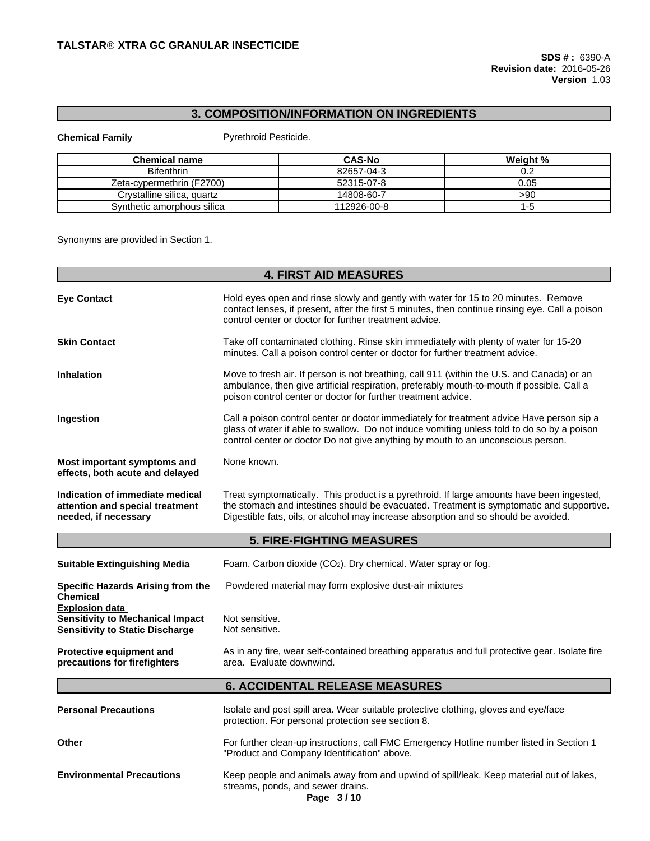# **3. COMPOSITION/INFORMATION ON INGREDIENTS**

**Chemical Family Pyrethroid Pesticide.** 

| <b>Chemical name</b>       | <b>CAS-No</b> | Weight % |
|----------------------------|---------------|----------|
| <b>Bifenthrin</b>          | 82657-04-3    | ◡.∠      |
| Zeta-cypermethrin (F2700)  | 52315-07-8    | 0.05     |
| Crystalline silica, quartz | 14808-60-7    | >90      |
| Synthetic amorphous silica | 112926-00-8   | -0       |

Synonyms are provided in Section 1.

|                                                                                                            | <b>4. FIRST AID MEASURES</b>                                                                                                                                                                                                                                                 |
|------------------------------------------------------------------------------------------------------------|------------------------------------------------------------------------------------------------------------------------------------------------------------------------------------------------------------------------------------------------------------------------------|
| <b>Eye Contact</b>                                                                                         | Hold eyes open and rinse slowly and gently with water for 15 to 20 minutes. Remove<br>contact lenses, if present, after the first 5 minutes, then continue rinsing eye. Call a poison<br>control center or doctor for further treatment advice.                              |
| <b>Skin Contact</b>                                                                                        | Take off contaminated clothing. Rinse skin immediately with plenty of water for 15-20<br>minutes. Call a poison control center or doctor for further treatment advice.                                                                                                       |
| <b>Inhalation</b>                                                                                          | Move to fresh air. If person is not breathing, call 911 (within the U.S. and Canada) or an<br>ambulance, then give artificial respiration, preferably mouth-to-mouth if possible. Call a<br>poison control center or doctor for further treatment advice.                    |
| Ingestion                                                                                                  | Call a poison control center or doctor immediately for treatment advice Have person sip a<br>glass of water if able to swallow. Do not induce vomiting unless told to do so by a poison<br>control center or doctor Do not give anything by mouth to an unconscious person.  |
| Most important symptoms and<br>effects, both acute and delayed                                             | None known.                                                                                                                                                                                                                                                                  |
| Indication of immediate medical<br>attention and special treatment<br>needed, if necessary                 | Treat symptomatically. This product is a pyrethroid. If large amounts have been ingested,<br>the stomach and intestines should be evacuated. Treatment is symptomatic and supportive.<br>Digestible fats, oils, or alcohol may increase absorption and so should be avoided. |
|                                                                                                            | <b>5. FIRE-FIGHTING MEASURES</b>                                                                                                                                                                                                                                             |
| <b>Suitable Extinguishing Media</b>                                                                        | Foam. Carbon dioxide (CO <sub>2</sub> ). Dry chemical. Water spray or fog.                                                                                                                                                                                                   |
| Specific Hazards Arising from the<br><b>Chemical</b>                                                       | Powdered material may form explosive dust-air mixtures                                                                                                                                                                                                                       |
| <b>Explosion data</b><br><b>Sensitivity to Mechanical Impact</b><br><b>Sensitivity to Static Discharge</b> | Not sensitive.<br>Not sensitive.                                                                                                                                                                                                                                             |
| Protective equipment and<br>precautions for firefighters                                                   | As in any fire, wear self-contained breathing apparatus and full protective gear. Isolate fire<br>area. Evaluate downwind.                                                                                                                                                   |
|                                                                                                            | <b>6. ACCIDENTAL RELEASE MEASURES</b>                                                                                                                                                                                                                                        |
| <b>Personal Precautions</b>                                                                                | Isolate and post spill area. Wear suitable protective clothing, gloves and eye/face<br>protection. For personal protection see section 8.                                                                                                                                    |
| Other                                                                                                      | For further clean-up instructions, call FMC Emergency Hotline number listed in Section 1<br>"Product and Company Identification" above.                                                                                                                                      |
| <b>Environmental Precautions</b>                                                                           | Keep people and animals away from and upwind of spill/leak. Keep material out of lakes,<br>streams, ponds, and sewer drains.<br>Page 3/10                                                                                                                                    |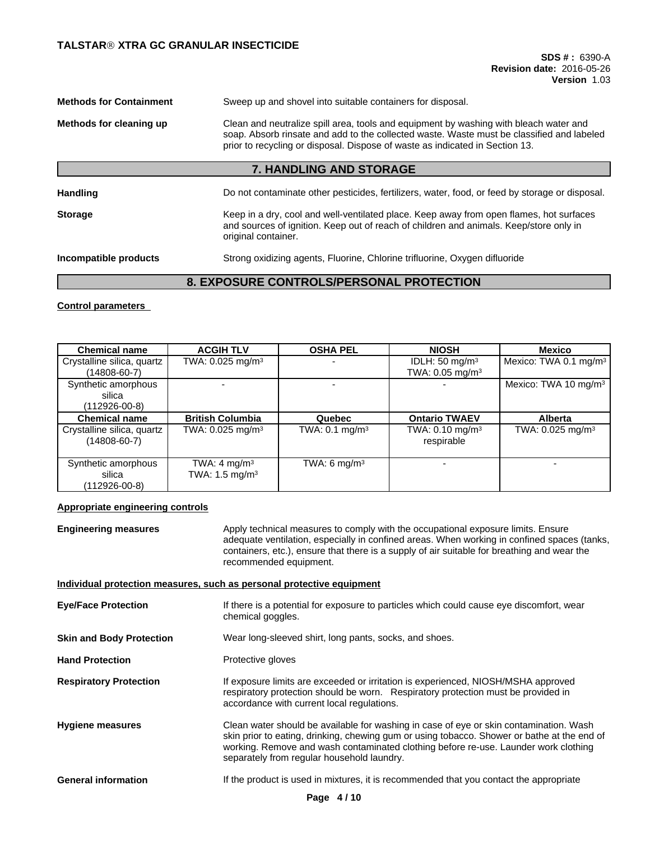| <b>Methods for Containment</b><br>Sweep up and shovel into suitable containers for disposal. |                                                                                                                                                                                                                                                                    |  |  |  |
|----------------------------------------------------------------------------------------------|--------------------------------------------------------------------------------------------------------------------------------------------------------------------------------------------------------------------------------------------------------------------|--|--|--|
| Methods for cleaning up                                                                      | Clean and neutralize spill area, tools and equipment by washing with bleach water and<br>soap. Absorb rinsate and add to the collected waste. Waste must be classified and labeled<br>prior to recycling or disposal. Dispose of waste as indicated in Section 13. |  |  |  |
|                                                                                              | 7. HANDLING AND STORAGE                                                                                                                                                                                                                                            |  |  |  |
| <b>Handling</b>                                                                              | Do not contaminate other pesticides, fertilizers, water, food, or feed by storage or disposal.                                                                                                                                                                     |  |  |  |
| <b>Storage</b>                                                                               | Keep in a dry, cool and well-ventilated place. Keep away from open flames, hot surfaces<br>and sources of ignition. Keep out of reach of children and animals. Keep/store only in<br>original container.                                                           |  |  |  |

**Incompatible products** Strong oxidizing agents, Fluorine, Chlorine trifluorine, Oxygen difluoride

# **8. EXPOSURE CONTROLS/PERSONAL PROTECTION**

**Control parameters**

| <b>Chemical name</b>       | <b>ACGIH TLV</b>               | <b>OSHA PEL</b>           | <b>NIOSH</b>                  | Mexico                            |
|----------------------------|--------------------------------|---------------------------|-------------------------------|-----------------------------------|
| Crystalline silica, quartz | TWA: $0.025$ mg/m <sup>3</sup> |                           | IDLH: $50 \text{ mg/m}^3$     | Mexico: TWA 0.1 mg/m <sup>3</sup> |
| (14808-60-7)               |                                |                           | TWA: $0.05$ mg/m <sup>3</sup> |                                   |
| Synthetic amorphous        |                                |                           |                               | Mexico: TWA 10 mg/m <sup>3</sup>  |
| silica                     |                                |                           |                               |                                   |
| $(112926-00-8)$            |                                |                           |                               |                                   |
| <b>Chemical name</b>       | <b>British Columbia</b>        | Quebec                    | <b>Ontario TWAEV</b>          | <b>Alberta</b>                    |
| Crystalline silica, quartz | TWA: $0.025$ mg/m <sup>3</sup> | TWA: $0.1 \text{ mg/m}^3$ | TWA: $0.10$ mg/m <sup>3</sup> | TWA: $0.025$ mg/m <sup>3</sup>    |
| $(14808 - 60 - 7)$         |                                |                           | respirable                    |                                   |
|                            |                                |                           |                               |                                   |
| Synthetic amorphous        | TWA: $4 \text{ mg/m}^3$        | TWA: 6 mg/m $3$           |                               |                                   |
| silica                     | TWA: 1.5 mg/m <sup>3</sup>     |                           |                               |                                   |
| $(112926 - 00 - 8)$        |                                |                           |                               |                                   |

### **Appropriate engineering controls**

**Engineering measures** Apply technical measures to comply with the occupational exposure limits. Ensure adequate ventilation, especially in confined areas. When working in confined spaces (tanks, containers, etc.), ensure that there is a supply of air suitable for breathing and wear the recommended equipment.

### **Individual protection measures, such as personal protective equipment**

**Eye/Face Protection** If there is a potential for exposure to particles which could cause eye discomfort, wear chemical goggles.

**Skin and Body Protection** Wear long-sleeved shirt, long pants, socks, and shoes.

Hand Protection **Protective gloves** 

- **Respiratory Protection If exposure limits are exceeded or irritation is experienced, NIOSH/MSHA approved** respiratory protection should be worn. Respiratory protection must be provided in accordance with current local regulations.
- **Hygiene measures** Clean water should be available for washing in case of eye or skin contamination. Wash skin prior to eating, drinking, chewing gum or using tobacco. Shower or bathe at the end of working. Remove and wash contaminated clothing before re-use. Launder work clothing separately from regular household laundry.

**General information** If the product is used in mixtures, it is recommended that you contact the appropriate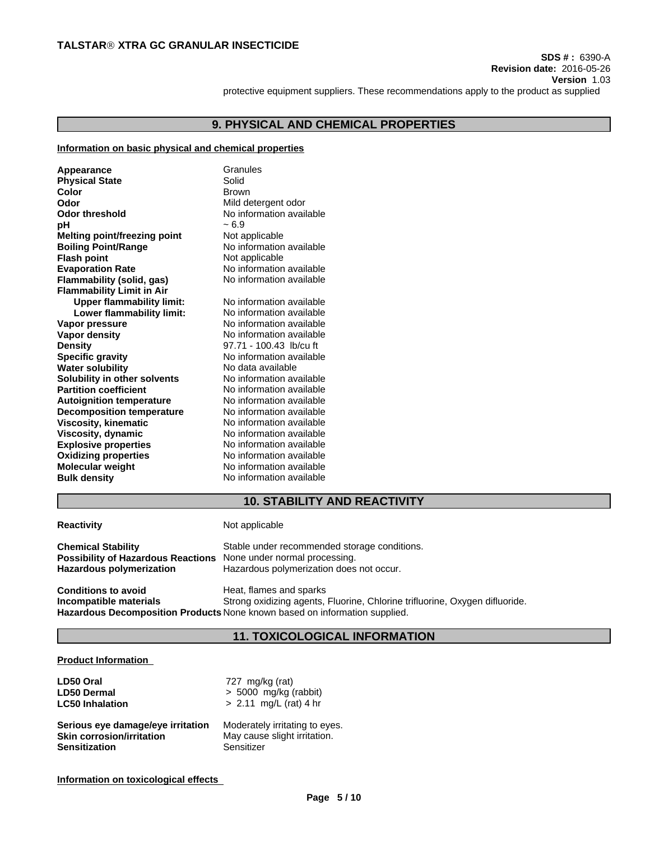**Version** 1.03

protective equipment suppliers. These recommendations apply to the product as supplied

# **9. PHYSICAL AND CHEMICAL PROPERTIES**

#### **Information on basic physical and chemical properties**

| Appearance<br><b>Physical State</b><br>Color<br>Odor<br>Odor threshold<br>рH<br>Melting point/freezing point<br><b>Boiling Point/Range</b><br><b>Flash point</b><br><b>Evaporation Rate</b><br>Flammability (solid, gas)<br><b>Flammability Limit in Air</b><br><b>Upper flammability limit:</b><br>Lower flammability limit:<br>Vapor pressure<br><b>Vapor density</b><br><b>Density</b><br><b>Specific gravity</b><br><b>Water solubility</b><br>Solubility in other solvents<br><b>Partition coefficient</b><br><b>Autoignition temperature</b><br><b>Decomposition temperature</b><br><b>Viscosity, kinematic</b><br>Viscosity, dynamic<br><b>Explosive properties</b><br><b>Oxidizing properties</b><br><b>Molecular weight</b> | Granules<br>Solid<br><b>Brown</b><br>Mild detergent odor<br>No information available<br>$~1$ – 6.9<br>Not applicable<br>No information available<br>Not applicable<br>No information available<br>No information available<br>No information available<br>No information available<br>No information available<br>No information available<br>97.71 - 100.43 lb/cu ft<br>No information available<br>No data available<br>No information available<br>No information available<br>No information available<br>No information available<br>No information available<br>No information available<br>No information available<br>No information available<br>No information available |  |
|--------------------------------------------------------------------------------------------------------------------------------------------------------------------------------------------------------------------------------------------------------------------------------------------------------------------------------------------------------------------------------------------------------------------------------------------------------------------------------------------------------------------------------------------------------------------------------------------------------------------------------------------------------------------------------------------------------------------------------------|------------------------------------------------------------------------------------------------------------------------------------------------------------------------------------------------------------------------------------------------------------------------------------------------------------------------------------------------------------------------------------------------------------------------------------------------------------------------------------------------------------------------------------------------------------------------------------------------------------------------------------------------------------------------------------|--|
| <b>Bulk density</b>                                                                                                                                                                                                                                                                                                                                                                                                                                                                                                                                                                                                                                                                                                                  | No information available                                                                                                                                                                                                                                                                                                                                                                                                                                                                                                                                                                                                                                                           |  |
|                                                                                                                                                                                                                                                                                                                                                                                                                                                                                                                                                                                                                                                                                                                                      |                                                                                                                                                                                                                                                                                                                                                                                                                                                                                                                                                                                                                                                                                    |  |

### **10. STABILITY AND REACTIVITY**

**Reactivity Not applicable** 

**Chemical Stability** Stable under recommended storage conditions.<br>**Possibility of Hazardous Reactions** None under normal processing. **Possibility of Hazardous Reactions Hazardous polymerization** Hazardous polymerization does not occur.

**Conditions to avoid**<br> **Conditions**<br> **Conditions**<br> **Conditions**<br> **Conditions**<br> **Conditions**<br> **Conditions**<br> **Conditions**<br> **Conditions**<br> **Conditions**<br> **Conditions**<br> **Conditions** Strong oxidizing agents, Fluorine, Chlorine trifluorine, Oxygen difluoride. **Hazardous Decomposition Products** None known based on information supplied.

# **11. TOXICOLOGICAL INFORMATION**

### **Product Information**

| LD50 Oral                         | 727 mg/kg (rat)                |
|-----------------------------------|--------------------------------|
| <b>LD50 Dermal</b>                | $> 5000$ mg/kg (rabbit)        |
| <b>LC50 Inhalation</b>            | $> 2.11$ mg/L (rat) 4 hr       |
| Serious eye damage/eye irritation | Moderately irritating to eyes. |
| <b>Skin corrosion/irritation</b>  | May cause slight irritation.   |
| <b>Sensitization</b>              | Sensitizer                     |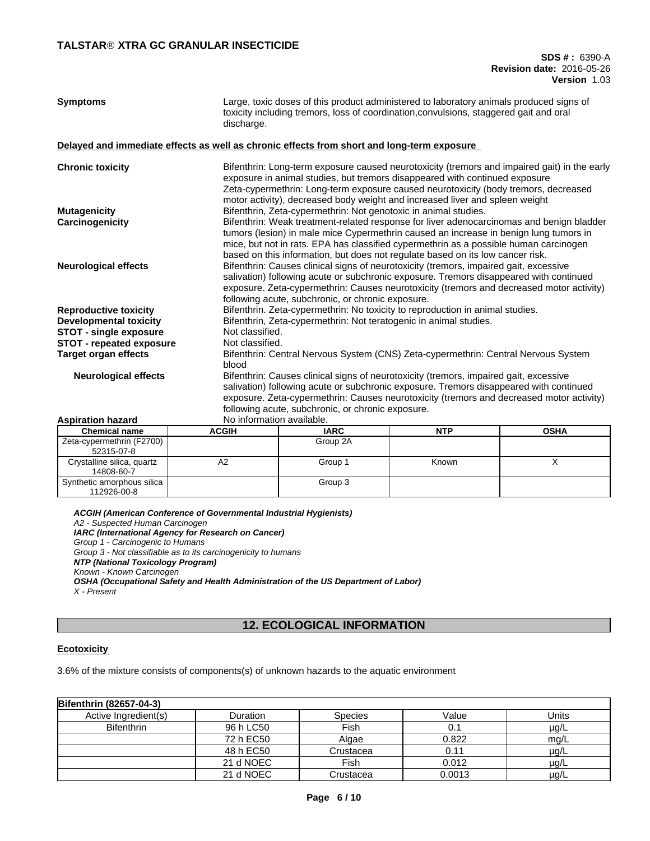| <b>Symptoms</b>                                                                            | Large, toxic doses of this product administered to laboratory animals produced signs of<br>toxicity including tremors, loss of coordination, convulsions, staggered gait and oral<br>discharge. |                                                                                                                                                                                 |            |                                                                                              |  |  |
|--------------------------------------------------------------------------------------------|-------------------------------------------------------------------------------------------------------------------------------------------------------------------------------------------------|---------------------------------------------------------------------------------------------------------------------------------------------------------------------------------|------------|----------------------------------------------------------------------------------------------|--|--|
| Delayed and immediate effects as well as chronic effects from short and long-term exposure |                                                                                                                                                                                                 |                                                                                                                                                                                 |            |                                                                                              |  |  |
| <b>Chronic toxicity</b>                                                                    |                                                                                                                                                                                                 |                                                                                                                                                                                 |            | Bifenthrin: Long-term exposure caused neurotoxicity (tremors and impaired gait) in the early |  |  |
|                                                                                            |                                                                                                                                                                                                 | exposure in animal studies, but tremors disappeared with continued exposure<br>Zeta-cypermethrin: Long-term exposure caused neurotoxicity (body tremors, decreased              |            |                                                                                              |  |  |
|                                                                                            |                                                                                                                                                                                                 | motor activity), decreased body weight and increased liver and spleen weight                                                                                                    |            |                                                                                              |  |  |
| <b>Mutagenicity</b>                                                                        |                                                                                                                                                                                                 | Bifenthrin, Zeta-cypermethrin: Not genotoxic in animal studies.                                                                                                                 |            |                                                                                              |  |  |
| Carcinogenicity                                                                            |                                                                                                                                                                                                 |                                                                                                                                                                                 |            | Bifenthrin: Weak treatment-related response for liver adenocarcinomas and benign bladder     |  |  |
|                                                                                            |                                                                                                                                                                                                 | tumors (lesion) in male mice Cypermethrin caused an increase in benign lung tumors in                                                                                           |            |                                                                                              |  |  |
|                                                                                            |                                                                                                                                                                                                 | mice, but not in rats. EPA has classified cypermethrin as a possible human carcinogen                                                                                           |            |                                                                                              |  |  |
|                                                                                            |                                                                                                                                                                                                 | based on this information, but does not regulate based on its low cancer risk.                                                                                                  |            |                                                                                              |  |  |
| <b>Neurological effects</b>                                                                |                                                                                                                                                                                                 | Bifenthrin: Causes clinical signs of neurotoxicity (tremors, impaired gait, excessive<br>salivation) following acute or subchronic exposure. Tremors disappeared with continued |            |                                                                                              |  |  |
|                                                                                            |                                                                                                                                                                                                 |                                                                                                                                                                                 |            |                                                                                              |  |  |
|                                                                                            |                                                                                                                                                                                                 | following acute, subchronic, or chronic exposure.                                                                                                                               |            | exposure. Zeta-cypermethrin: Causes neurotoxicity (tremors and decreased motor activity)     |  |  |
| <b>Reproductive toxicity</b>                                                               |                                                                                                                                                                                                 |                                                                                                                                                                                 |            |                                                                                              |  |  |
| Developmental toxicity                                                                     |                                                                                                                                                                                                 | Bifenthrin. Zeta-cypermethrin: No toxicity to reproduction in animal studies.<br>Bifenthrin, Zeta-cypermethrin: Not teratogenic in animal studies.                              |            |                                                                                              |  |  |
| STOT - single exposure                                                                     |                                                                                                                                                                                                 | Not classified.                                                                                                                                                                 |            |                                                                                              |  |  |
| <b>STOT - repeated exposure</b>                                                            |                                                                                                                                                                                                 | Not classified.                                                                                                                                                                 |            |                                                                                              |  |  |
| <b>Target organ effects</b>                                                                |                                                                                                                                                                                                 | Bifenthrin: Central Nervous System (CNS) Zeta-cypermethrin: Central Nervous System                                                                                              |            |                                                                                              |  |  |
|                                                                                            | blood                                                                                                                                                                                           |                                                                                                                                                                                 |            |                                                                                              |  |  |
| <b>Neurological effects</b>                                                                |                                                                                                                                                                                                 | Bifenthrin: Causes clinical signs of neurotoxicity (tremors, impaired gait, excessive                                                                                           |            |                                                                                              |  |  |
|                                                                                            |                                                                                                                                                                                                 | salivation) following acute or subchronic exposure. Tremors disappeared with continued                                                                                          |            |                                                                                              |  |  |
|                                                                                            |                                                                                                                                                                                                 |                                                                                                                                                                                 |            | exposure. Zeta-cypermethrin: Causes neurotoxicity (tremors and decreased motor activity)     |  |  |
|                                                                                            |                                                                                                                                                                                                 | following acute, subchronic, or chronic exposure.                                                                                                                               |            |                                                                                              |  |  |
| <b>Aspiration hazard</b><br><b>Chemical name</b>                                           | No information available.<br><b>ACGIH</b>                                                                                                                                                       | <b>IARC</b>                                                                                                                                                                     | <b>NTP</b> | <b>OSHA</b>                                                                                  |  |  |
| $70$ curarmathrin $(52700)$                                                                |                                                                                                                                                                                                 | $C_{\text{max}}$                                                                                                                                                                |            |                                                                                              |  |  |

| Chemical name              | ACGIH | IARC     | NIP   | USHA |
|----------------------------|-------|----------|-------|------|
| Zeta-cypermethrin (F2700)  |       | Group 2A |       |      |
| 52315-07-8                 |       |          |       |      |
| Crystalline silica, quartz | A2    | Group 1  | Known |      |
| 14808-60-7                 |       |          |       |      |
| Synthetic amorphous silica |       | Group 3  |       |      |
| 112926-00-8                |       |          |       |      |

*ACGIH (American Conference of Governmental Industrial Hygienists) A2 - Suspected Human Carcinogen IARC (International Agency for Research on Cancer) Group 1 - Carcinogenic to Humans Group 3 - Not classifiable as to its carcinogenicity to humans NTP (National Toxicology Program) Known - Known Carcinogen OSHA (Occupational Safety and Health Administration of the US Department of Labor) X - Present*

# **12. ECOLOGICAL INFORMATION**

### **Ecotoxicity**

3.6% of the mixture consists of components(s) of unknown hazards to the aquatic environment

| Bifenthrin (82657-04-3) |           |                |        |           |
|-------------------------|-----------|----------------|--------|-----------|
| Active Ingredient(s)    | Duration  | <b>Species</b> | Value  | Units     |
| <b>Bifenthrin</b>       | 96 h LC50 | Fish           | 0.1    | $\mu$ g/L |
|                         | 72 h EC50 | Algae          | 0.822  | mq/L      |
|                         | 48 h EC50 | Crustacea      | 0.11   | $\mu$ g/L |
|                         | 21 d NOEC | Fish           | 0.012  | $\mu$ g/L |
|                         | 21 d NOEC | Crustacea      | 0.0013 | $\mu$ g/L |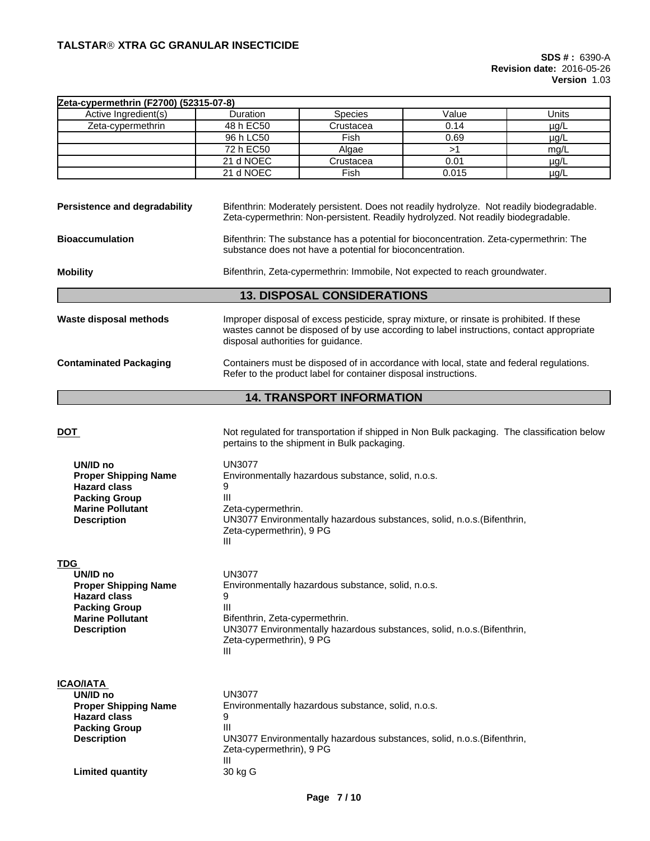| Zeta-cypermethrin (F2700) (52315-07-8)                                                                                                                |                                                                                                                                                     |                                                                                                                                                                                      |       |           |  |  |
|-------------------------------------------------------------------------------------------------------------------------------------------------------|-----------------------------------------------------------------------------------------------------------------------------------------------------|--------------------------------------------------------------------------------------------------------------------------------------------------------------------------------------|-------|-----------|--|--|
| Active Ingredient(s)                                                                                                                                  | Duration                                                                                                                                            | Species                                                                                                                                                                              | Value | Units     |  |  |
| Zeta-cypermethrin                                                                                                                                     | 48 h EC50                                                                                                                                           | Crustacea                                                                                                                                                                            | 0.14  | $\mu$ g/L |  |  |
|                                                                                                                                                       | 96 h LC50                                                                                                                                           | Fish                                                                                                                                                                                 | 0.69  | $\mu$ g/L |  |  |
|                                                                                                                                                       | 72 h EC50                                                                                                                                           | Algae                                                                                                                                                                                | >1    | mg/L      |  |  |
|                                                                                                                                                       | 21 d NOEC                                                                                                                                           | Crustacea                                                                                                                                                                            | 0.01  | $\mu$ g/L |  |  |
|                                                                                                                                                       | 21 d NOEC                                                                                                                                           | Fish                                                                                                                                                                                 | 0.015 | $\mu$ g/L |  |  |
| Persistence and degradability                                                                                                                         |                                                                                                                                                     | Bifenthrin: Moderately persistent. Does not readily hydrolyze. Not readily biodegradable.<br>Zeta-cypermethrin: Non-persistent. Readily hydrolyzed. Not readily biodegradable.       |       |           |  |  |
| <b>Bioaccumulation</b>                                                                                                                                | Bifenthrin: The substance has a potential for bioconcentration. Zeta-cypermethrin: The<br>substance does not have a potential for bioconcentration. |                                                                                                                                                                                      |       |           |  |  |
| <b>Mobility</b>                                                                                                                                       |                                                                                                                                                     | Bifenthrin, Zeta-cypermethrin: Immobile, Not expected to reach groundwater.                                                                                                          |       |           |  |  |
|                                                                                                                                                       |                                                                                                                                                     | <b>13. DISPOSAL CONSIDERATIONS</b>                                                                                                                                                   |       |           |  |  |
| <b>Waste disposal methods</b>                                                                                                                         | disposal authorities for guidance.                                                                                                                  | Improper disposal of excess pesticide, spray mixture, or rinsate is prohibited. If these<br>wastes cannot be disposed of by use according to label instructions, contact appropriate |       |           |  |  |
| <b>Contaminated Packaging</b>                                                                                                                         |                                                                                                                                                     | Containers must be disposed of in accordance with local, state and federal regulations.<br>Refer to the product label for container disposal instructions.                           |       |           |  |  |
|                                                                                                                                                       |                                                                                                                                                     | <b>14. TRANSPORT INFORMATION</b>                                                                                                                                                     |       |           |  |  |
| <u>DOT</u>                                                                                                                                            |                                                                                                                                                     | Not regulated for transportation if shipped in Non Bulk packaging. The classification below<br>pertains to the shipment in Bulk packaging.                                           |       |           |  |  |
| UN/ID no<br><b>Proper Shipping Name</b><br><b>Hazard class</b><br><b>Packing Group</b><br><b>Marine Pollutant</b><br><b>Description</b>               | <b>UN3077</b><br>9<br>Ш<br>Zeta-cypermethrin.<br>Zeta-cypermethrin), 9 PG<br>Ш                                                                      | Environmentally hazardous substance, solid, n.o.s.<br>UN3077 Environmentally hazardous substances, solid, n.o.s. (Bifenthrin,                                                        |       |           |  |  |
| <b>TDG</b><br>UN/ID no<br><b>Proper Shipping Name</b><br><b>Hazard class</b><br><b>Packing Group</b><br><b>Marine Pollutant</b><br><b>Description</b> | <b>UN3077</b><br>9<br>Ш<br>Bifenthrin, Zeta-cypermethrin.<br>Zeta-cypermethrin), 9 PG<br>Ш                                                          | Environmentally hazardous substance, solid, n.o.s.<br>UN3077 Environmentally hazardous substances, solid, n.o.s. (Bifenthrin,                                                        |       |           |  |  |
| <b>ICAO/IATA</b><br>UN/ID no<br><b>Proper Shipping Name</b><br><b>Hazard class</b><br><b>Packing Group</b><br><b>Description</b>                      | <b>UN3077</b><br>9<br>Ш<br>Zeta-cypermethrin), 9 PG<br>Ш                                                                                            | Environmentally hazardous substance, solid, n.o.s.<br>UN3077 Environmentally hazardous substances, solid, n.o.s. (Bifenthrin,                                                        |       |           |  |  |
| <b>Limited quantity</b>                                                                                                                               | 30 kg G                                                                                                                                             |                                                                                                                                                                                      |       |           |  |  |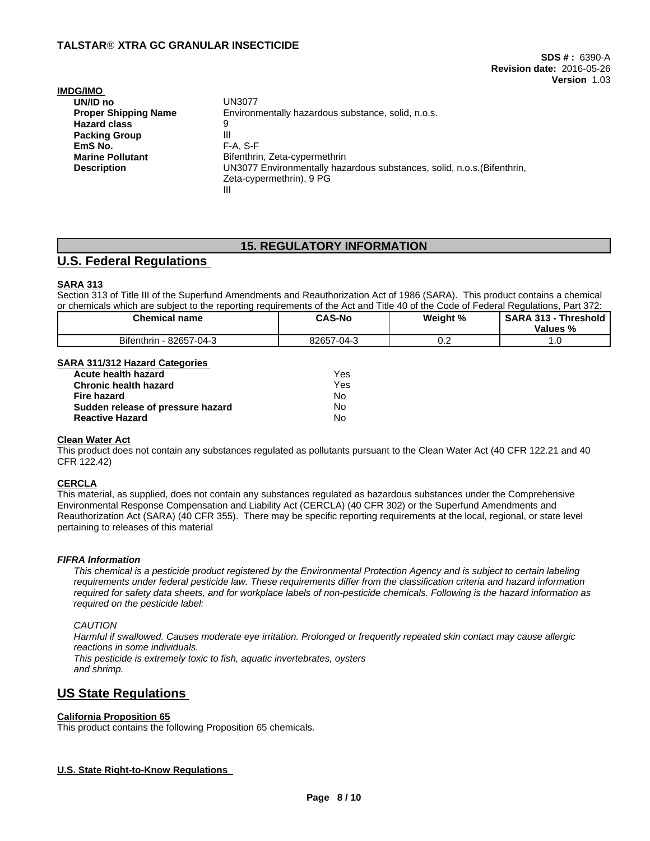| <b>IMDG/IMO</b>             |                                                                         |
|-----------------------------|-------------------------------------------------------------------------|
| UN/ID no                    | UN3077                                                                  |
| <b>Proper Shipping Name</b> | Environmentally hazardous substance, solid, n.o.s.                      |
| <b>Hazard class</b>         | 9                                                                       |
| <b>Packing Group</b>        | Ш                                                                       |
| EmS No.                     | $F-A. S-F$                                                              |
| <b>Marine Pollutant</b>     | Bifenthrin, Zeta-cypermethrin                                           |
| <b>Description</b>          | UN3077 Environmentally hazardous substances, solid, n.o.s. (Bifenthrin, |
|                             | Zeta-cypermethrin), 9 PG                                                |
|                             | Ш                                                                       |

## **15. REGULATORY INFORMATION**

# **U.S. Federal Regulations**

### **SARA 313**

Section 313 of Title III of the Superfund Amendments and Reauthorization Act of 1986 (SARA). This product contains a chemical or chemicals which are subject to the reporting requirements of the Act and Title 40 of the Code of Federal Regulations, Part 372:

| <b>Chemical name</b>                                                        | <b>CAS-No</b>         | Weight % | <b>SARA</b><br>242<br>íhreshold<br>- 313<br>$\sim$<br>Values |
|-----------------------------------------------------------------------------|-----------------------|----------|--------------------------------------------------------------|
| <b>Bifenthrin</b><br>$-7 - 04 - 0$<br>$\sim$ $\sim$ $\sim$ $\sim$<br>- 8265 | 82657<br>-04-3<br>1/1 | v.z      | .                                                            |

### **SARA 311/312 Hazard Categories**

| Yes  |  |
|------|--|
| Yes. |  |
| N٥   |  |
| No   |  |
| No   |  |
|      |  |

### **Clean Water Act**

This product does not contain any substances regulated as pollutants pursuant to the Clean Water Act (40 CFR 122.21 and 40 CFR 122.42)

### **CERCLA**

This material, as supplied, does not contain any substances regulated as hazardous substances under the Comprehensive Environmental Response Compensation and Liability Act (CERCLA) (40 CFR 302) or the Superfund Amendments and Reauthorization Act (SARA) (40 CFR 355). There may be specific reporting requirements at the local, regional, or state level pertaining to releases of this material

#### *FIFRA Information*

This chemical is a pesticide product registered by the Environmental Protection Agency and is subject to certain labeling requirements under federal pesticide law. These requirements differ from the classification criteria and hazard information required for safety data sheets, and for workplace labels of non-pesticide chemicals. Following is the hazard information as *required on the pesticide label:*

#### *CAUTION*

Harmful if swallowed. Causes moderate eye irritation. Prolonged or frequently repeated skin contact may cause allergic *reactions in some individuals. This pesticide is extremely toxic to fish, aquatic invertebrates, oysters and shrimp.*

# **US State Regulations**

### **California Proposition 65**

This product contains the following Proposition 65 chemicals.

### **U.S. State Right-to-Know Regulations**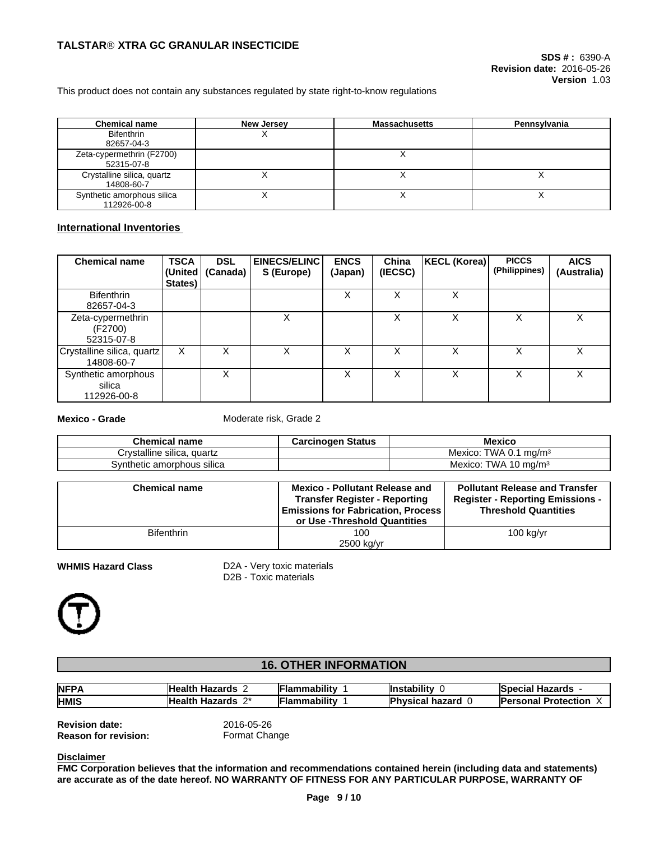This product does not contain any substances regulated by state right-to-know regulations

| <b>Chemical name</b>       | <b>New Jersey</b> | <b>Massachusetts</b> | Pennsylvania |
|----------------------------|-------------------|----------------------|--------------|
| <b>Bifenthrin</b>          |                   |                      |              |
| 82657-04-3                 |                   |                      |              |
| Zeta-cypermethrin (F2700)  |                   |                      |              |
| 52315-07-8                 |                   |                      |              |
| Crystalline silica, quartz |                   |                      |              |
| 14808-60-7                 |                   |                      |              |
| Synthetic amorphous silica |                   |                      |              |
| 112926-00-8                |                   |                      |              |

### **International Inventories**

| <b>Chemical name</b>                         | <b>TSCA</b><br>States) | <b>DSL</b><br>(United   (Canada) | <b>EINECS/ELINC</b><br>S (Europe) | <b>ENCS</b><br>(Japan) | China<br>(IECSC) | KECL (Korea) | <b>PICCS</b><br>(Philippines) | <b>AICS</b><br>(Australia) |
|----------------------------------------------|------------------------|----------------------------------|-----------------------------------|------------------------|------------------|--------------|-------------------------------|----------------------------|
| <b>Bifenthrin</b><br>82657-04-3              |                        |                                  |                                   | x                      |                  | X            |                               |                            |
| Zeta-cypermethrin<br>(F2700)<br>52315-07-8   |                        |                                  | X                                 |                        |                  | X            | x                             | X                          |
| Crystalline silica, quartz<br>14808-60-7     | X                      |                                  | х                                 | ⋏                      |                  | X            |                               | X                          |
| Synthetic amorphous<br>silica<br>112926-00-8 |                        | X                                |                                   | x                      |                  | X            | х                             | X                          |

**Mexico - Grade** Moderate risk, Grade 2

| Chemical name                 | <b>Carcinogen Status</b> | Mexico                                     |
|-------------------------------|--------------------------|--------------------------------------------|
| Crystalline silica.<br>quartz |                          | <b>TWA</b><br>ma/m <sup>3</sup><br>Mexico: |
| Svnthetic amorphous silica    |                          | TWA 10 $ma/m3$<br>Mexico.                  |

| <b>Chemical name</b> | <b>Mexico - Pollutant Release and</b><br><b>Transfer Register - Reporting</b><br><b>Emissions for Fabrication, Process</b><br>or Use -Threshold Quantities | <b>Pollutant Release and Transfer</b><br><b>Register - Reporting Emissions -</b><br><b>Threshold Quantities</b> |
|----------------------|------------------------------------------------------------------------------------------------------------------------------------------------------------|-----------------------------------------------------------------------------------------------------------------|
| <b>Bifenthrin</b>    | 100<br>2500 kg/yr                                                                                                                                          | $100$ kg/yr                                                                                                     |

**WHMIS Hazard Class** D2A - Very toxic materials D2B - Toxic materials



**Disclaimer**

# **16. OTHER INFORMATION**

| <b>NFPA</b> | Healt<br>- 90-00<br>∠ard∘<br>пd.                  | <br>ımabilitv | <br>.stability                        | arde -<br>labe<br>жыл<br>⊓a∠aï us |
|-------------|---------------------------------------------------|---------------|---------------------------------------|-----------------------------------|
| <b>HMIS</b> | $\mathbf{a}$<br>Healt'<br>- 10-00<br>∠ards<br>па. | <br>.ıabilitv | <b>boyor</b><br><b>NSIC</b><br>.<br>◡ | Protection                        |

**Revision date:** 2016-05-26<br>**Reason for revision:** Format Change **Reason for revision:** 

**FMC Corporation believes that the information and recommendations contained herein (including data and statements) are accurate as of the date hereof. NO WARRANTY OF FITNESS FOR ANY PARTICULAR PURPOSE, WARRANTY OF**